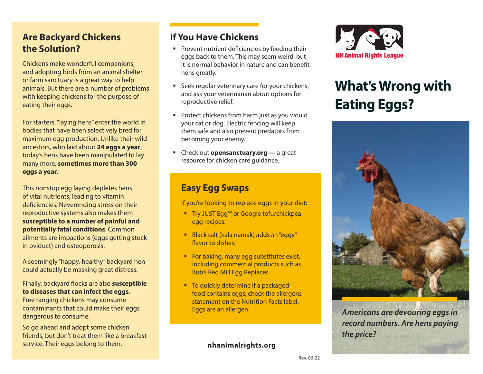## **Are Backyard Chickens the Solution?**

Chickens make wonderful companions, and adopting birds from an animal shelter or farm sanctuary is a great way to help animals. But there are a number of problems with keeping chickens for the purpose of eating their eggs.

For starters, "laying hens" enter the world in bodies that have been selectively bred for maximum egg production. Unlike their wild ancestors, who laid about **24 eggs a year**, today's hens have been manipulated to lay many more, **sometimes more than 300 eggs a year**.

This nonstop egg laying depletes hens of vital nutrients, leading to vitamin deficiencies. Neverending stress on their reproductive systems also makes them **susceptible to a number of painful and potentially fatal conditions**. Common ailments are impactions (eggs getting stuck in oviduct) and osteoporosis.

A seemingly "happy, healthy" backyard hen could actually be masking great distress.

Finally, backyard flocks are also **susceptible to diseases that can infect the eggs**.

Free ranging chickens may consume contaminants that could make their eggs dangerous to consume.

So go ahead and adopt some chicken friends, but don't treat them like a breakfast service. Their eggs belong to them.

### **If You Have Chickens**

- **Prevent nutrient deficiencies by feeding their** eggs back to them. This may seem weird, but it is normal behavior in nature and can benefit hens greatly.
- **Seek regular veterinary care for your chickens,** and ask your veterinarian about options for reproductive relief.
- **Protect chickens from harm just as you would** your cat or dog. Electric fencing will keep them safe and also prevent predators from becoming your enemy.
- Check out **opensanctuary.org** a great resource for chicken care guidance.

#### **Easy Egg Swaps**

If you're looking to replace eggs in your diet:

- Try JUST Egg<sup>™</sup> or Google tofu/chickpea egg recipes.
- Black salt (kala namak) adds an "eggy" flavor to dishes.
- For baking, many egg substitutes exist, including commercial products such as Bob's Red Mill Egg Replacer.
- To quickly determine if a packaged food contains eggs, check the allergens statement on the Nutrition Facts label. Eggs are an allergen.

**nhanimalrights.org**



# **What's Wrong with Eating Eggs?**



**Americans are devouring eggs in record numbers. Are hens paying the price?**